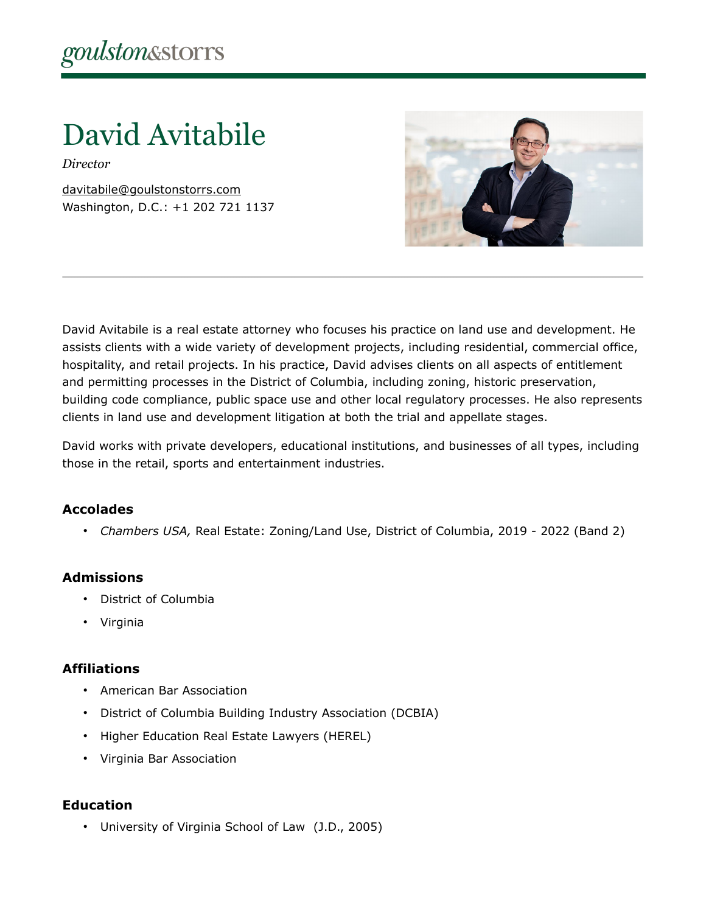David Avitabile

*Director*

[davitabile@goulstonstorrs.com](mailto:davitabile@goulstonstorrs.com) Washington, D.C.: +1 202 721 1137



David Avitabile is a real estate attorney who focuses his practice on land use and development. He assists clients with a wide variety of development projects, including residential, commercial office, hospitality, and retail projects. In his practice, David advises clients on all aspects of entitlement and permitting processes in the District of Columbia, including zoning, historic preservation, building code compliance, public space use and other local regulatory processes. He also represents clients in land use and development litigation at both the trial and appellate stages.

David works with private developers, educational institutions, and businesses of all types, including those in the retail, sports and entertainment industries.

## **Accolades**

• *Chambers USA,* Real Estate: Zoning/Land Use, District of Columbia, 2019 - 2022 (Band 2)

#### **Admissions**

- District of Columbia
- Virginia

#### **Affiliations**

- American Bar Association
- District of Columbia Building Industry Association (DCBIA)
- Higher Education Real Estate Lawyers (HEREL)
- Virginia Bar Association

## **Education**

• University of Virginia School of Law (J.D., 2005)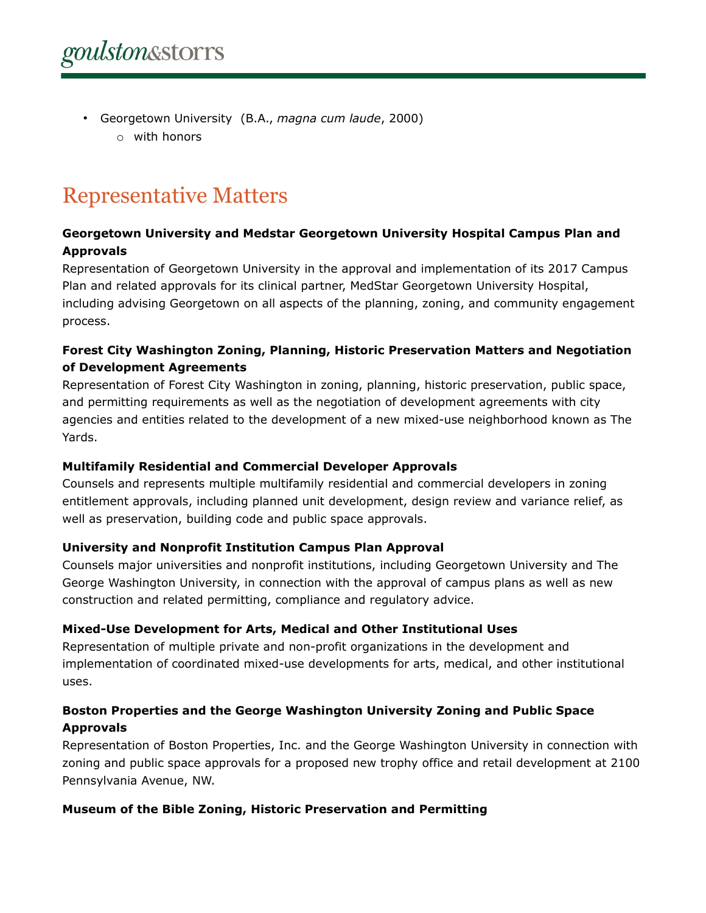• Georgetown University (B.A., *magna cum laude*, 2000) o with honors

# Representative Matters

## **Georgetown University and Medstar Georgetown University Hospital Campus Plan and Approvals**

Representation of Georgetown University in the approval and implementation of its 2017 Campus Plan and related approvals for its clinical partner, MedStar Georgetown University Hospital, including advising Georgetown on all aspects of the planning, zoning, and community engagement process.

## **Forest City Washington Zoning, Planning, Historic Preservation Matters and Negotiation of Development Agreements**

Representation of Forest City Washington in zoning, planning, historic preservation, public space, and permitting requirements as well as the negotiation of development agreements with city agencies and entities related to the development of a new mixed-use neighborhood known as The Yards.

#### **Multifamily Residential and Commercial Developer Approvals**

Counsels and represents multiple multifamily residential and commercial developers in zoning entitlement approvals, including planned unit development, design review and variance relief, as well as preservation, building code and public space approvals.

#### **University and Nonprofit Institution Campus Plan Approval**

Counsels major universities and nonprofit institutions, including Georgetown University and The George Washington University, in connection with the approval of campus plans as well as new construction and related permitting, compliance and regulatory advice.

## **Mixed-Use Development for Arts, Medical and Other Institutional Uses**

Representation of multiple private and non-profit organizations in the development and implementation of coordinated mixed-use developments for arts, medical, and other institutional uses.

## **Boston Properties and the George Washington University Zoning and Public Space Approvals**

Representation of Boston Properties, Inc. and the George Washington University in connection with zoning and public space approvals for a proposed new trophy office and retail development at 2100 Pennsylvania Avenue, NW.

## **Museum of the Bible Zoning, Historic Preservation and Permitting**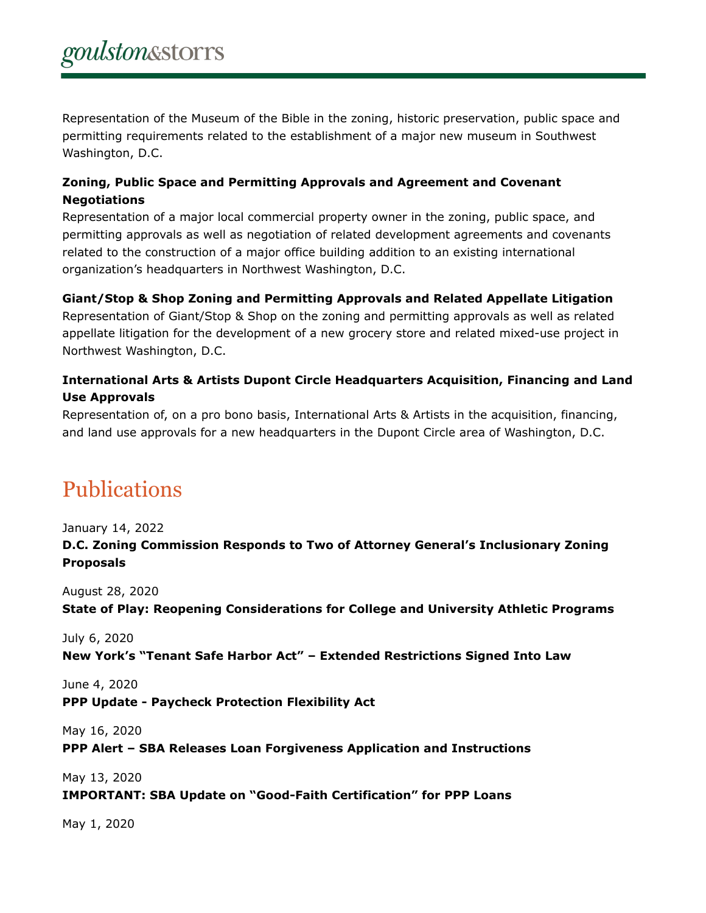Representation of the Museum of the Bible in the zoning, historic preservation, public space and permitting requirements related to the establishment of a major new museum in Southwest Washington, D.C.

## **Zoning, Public Space and Permitting Approvals and Agreement and Covenant Negotiations**

Representation of a major local commercial property owner in the zoning, public space, and permitting approvals as well as negotiation of related development agreements and covenants related to the construction of a major office building addition to an existing international organization's headquarters in Northwest Washington, D.C.

## **Giant/Stop & Shop Zoning and Permitting Approvals and Related Appellate Litigation**

Representation of Giant/Stop & Shop on the zoning and permitting approvals as well as related appellate litigation for the development of a new grocery store and related mixed-use project in Northwest Washington, D.C.

## **International Arts & Artists Dupont Circle Headquarters Acquisition, Financing and Land Use Approvals**

Representation of, on a pro bono basis, International Arts & Artists in the acquisition, financing, and land use approvals for a new headquarters in the Dupont Circle area of Washington, D.C.

## Publications

January 14, 2022 **D.C. Zoning Commission Responds to Two of Attorney General's Inclusionary Zoning Proposals**

August 28, 2020

**State of Play: Reopening Considerations for College and University Athletic Programs**

July 6, 2020

**New York's "Tenant Safe Harbor Act" – Extended Restrictions Signed Into Law**

June 4, 2020 **PPP Update - Paycheck Protection Flexibility Act**

May 16, 2020

**PPP Alert – SBA Releases Loan Forgiveness Application and Instructions**

May 13, 2020 **IMPORTANT: SBA Update on "Good-Faith Certification" for PPP Loans**

May 1, 2020